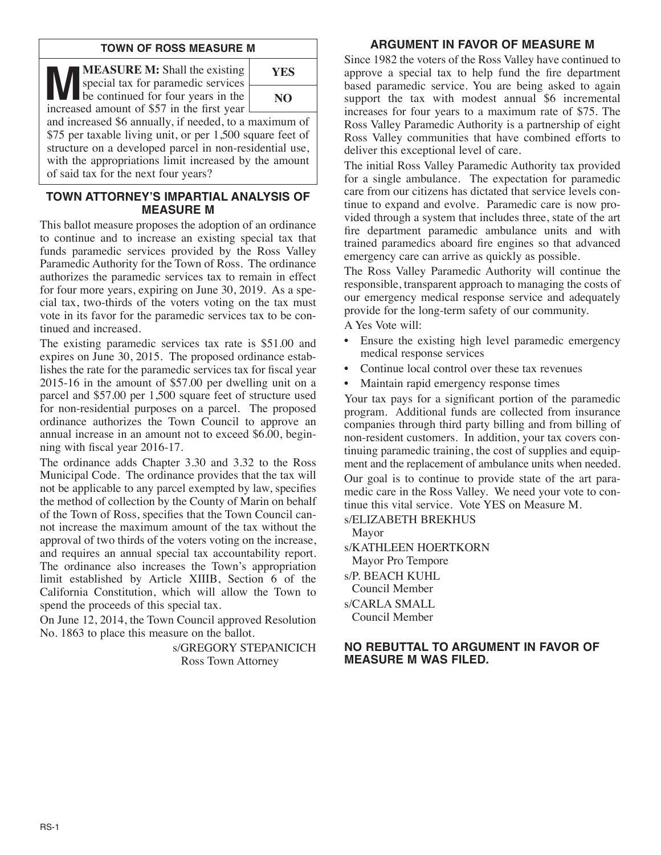## **TOWN OF ROSS MEASURE M**

**MEASURE M:** Shall the existing<br>special tax for paramedic services<br>be continued for four years in the<br>increased amount of \$57 in the first year special tax for paramedic services increased amount of \$57 in the first year



and increased \$6 annually, if needed, to a maximum of \$75 per taxable living unit, or per 1,500 square feet of structure on a developed parcel in non-residential use, with the appropriations limit increased by the amount of said tax for the next four years?

## **TOWN ATTORNEY'S IMPARTIAL ANALYSIS OF MEASURE M**

This ballot measure proposes the adoption of an ordinance to continue and to increase an existing special tax that funds paramedic services provided by the Ross Valley Paramedic Authority for the Town of Ross. The ordinance authorizes the paramedic services tax to remain in effect for four more years, expiring on June 30, 2019. As a special tax, two-thirds of the voters voting on the tax must vote in its favor for the paramedic services tax to be continued and increased.

The existing paramedic services tax rate is \$51.00 and expires on June 30, 2015. The proposed ordinance establishes the rate for the paramedic services tax for fiscal year 2015-16 in the amount of \$57.00 per dwelling unit on a parcel and \$57.00 per 1,500 square feet of structure used for non-residential purposes on a parcel. The proposed ordinance authorizes the Town Council to approve an annual increase in an amount not to exceed \$6.00, beginning with fiscal year 2016-17.

The ordinance adds Chapter 3.30 and 3.32 to the Ross Municipal Code. The ordinance provides that the tax will not be applicable to any parcel exempted by law, specifies the method of collection by the County of Marin on behalf of the Town of Ross, specifies that the Town Council cannot increase the maximum amount of the tax without the approval of two thirds of the voters voting on the increase, and requires an annual special tax accountability report. The ordinance also increases the Town's appropriation limit established by Article XIIIB, Section 6 of the California Constitution, which will allow the Town to spend the proceeds of this special tax.

On June 12, 2014, the Town Council approved Resolution No. 1863 to place this measure on the ballot.

> s/GREGORY STEPANICICH Ross Town Attorney

## **ARGUMENT IN FAVOR OF MEASURE M**

Since 1982 the voters of the Ross Valley have continued to approve a special tax to help fund the fire department based paramedic service. You are being asked to again support the tax with modest annual \$6 incremental increases for four years to a maximum rate of \$75. The Ross Valley Paramedic Authority is a partnership of eight Ross Valley communities that have combined efforts to deliver this exceptional level of care.

The initial Ross Valley Paramedic Authority tax provided for a single ambulance. The expectation for paramedic care from our citizens has dictated that service levels continue to expand and evolve. Paramedic care is now provided through a system that includes three, state of the art fire department paramedic ambulance units and with trained paramedics aboard fire engines so that advanced emergency care can arrive as quickly as possible.

The Ross Valley Paramedic Authority will continue the responsible, transparent approach to managing the costs of our emergency medical response service and adequately provide for the long-term safety of our community.

A Yes Vote will:

- Ensure the existing high level paramedic emergency medical response services
- Continue local control over these tax revenues
- Maintain rapid emergency response times

Your tax pays for a significant portion of the paramedic program. Additional funds are collected from insurance companies through third party billing and from billing of non-resident customers. In addition, your tax covers continuing paramedic training, the cost of supplies and equipment and the replacement of ambulance units when needed.

Our goal is to continue to provide state of the art paramedic care in the Ross Valley. We need your vote to continue this vital service. Vote YES on Measure M.

s/ELIZABETH BREKHUS Mayor

- s/KATHLEEN HOERTKORN Mayor Pro Tempore
- s/P. BEACH KUHL Council Member

s/CARLA SMALL Council Member

### **NO REBUTTAL TO ARGUMENT IN FAVOR OF MEASURE M WAS FILED.**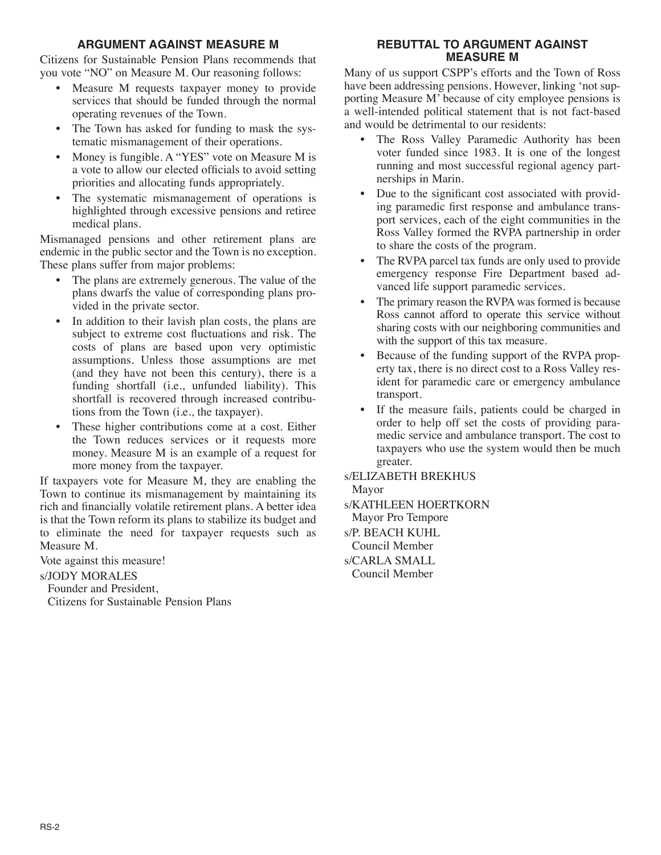## **ARGUMENT AGAINST MEASURE M**

Citizens for Sustainable Pension Plans recommends that you vote "NO" on Measure M. Our reasoning follows:

- Measure M requests taxpayer money to provide services that should be funded through the normal operating revenues of the Town.
- The Town has asked for funding to mask the systematic mismanagement of their operations.
- Money is fungible. A "YES" vote on Measure M is a vote to allow our elected officials to avoid setting priorities and allocating funds appropriately.
- The systematic mismanagement of operations is highlighted through excessive pensions and retiree medical plans.

Mismanaged pensions and other retirement plans are endemic in the public sector and the Town is no exception. These plans suffer from major problems:

- The plans are extremely generous. The value of the plans dwarfs the value of corresponding plans provided in the private sector.
- In addition to their lavish plan costs, the plans are subject to extreme cost fluctuations and risk. The costs of plans are based upon very optimistic assumptions. Unless those assumptions are met (and they have not been this century), there is a funding shortfall (i.e., unfunded liability). This shortfall is recovered through increased contributions from the Town (i.e., the taxpayer).
- These higher contributions come at a cost. Either the Town reduces services or it requests more money. Measure M is an example of a request for more money from the taxpayer.

If taxpayers vote for Measure M, they are enabling the Town to continue its mismanagement by maintaining its rich and financially volatile retirement plans. A better idea is that the Town reform its plans to stabilize its budget and to eliminate the need for taxpayer requests such as Measure M.

Vote against this measure!

#### s/JODY MORALES

Founder and President, Citizens for Sustainable Pension Plans

## **REBUTTAL TO ARGUMENT AGAINST MEASURE M**

Many of us support CSPP's efforts and the Town of Ross have been addressing pensions. However, linking 'not supporting Measure M' because of city employee pensions is a well-intended political statement that is not fact-based and would be detrimental to our residents:

- The Ross Valley Paramedic Authority has been voter funded since 1983. It is one of the longest running and most successful regional agency partnerships in Marin.
- Due to the significant cost associated with providing paramedic first response and ambulance transport services, each of the eight communities in the Ross Valley formed the RVPA partnership in order to share the costs of the program.
- The RVPA parcel tax funds are only used to provide emergency response Fire Department based advanced life support paramedic services.
- The primary reason the RVPA was formed is because Ross cannot afford to operate this service without sharing costs with our neighboring communities and with the support of this tax measure.
- Because of the funding support of the RVPA property tax, there is no direct cost to a Ross Valley resident for paramedic care or emergency ambulance transport.
- If the measure fails, patients could be charged in order to help off set the costs of providing paramedic service and ambulance transport. The cost to taxpayers who use the system would then be much greater.
- s/ELIZABETH BREKHUS Mayor
- s/KATHLEEN HOERTKORN Mayor Pro Tempore

s/P. BEACH KUHL Council Member s/CARLA SMALL

Council Member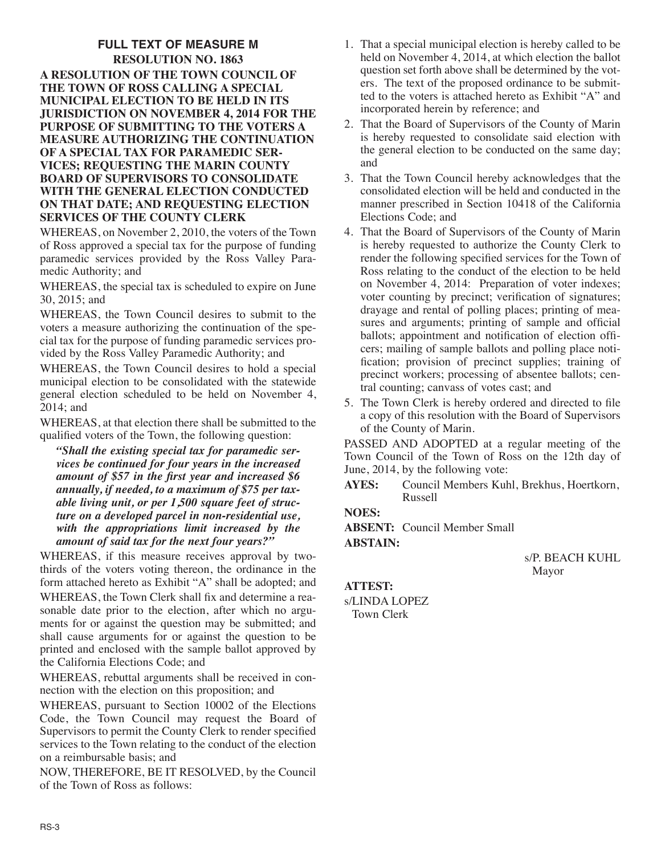## **FULL TEXT OF MEASURE M RESOLUTION NO. 1863 A RESOLUTION OF THE TOWN COUNCIL OF THE TOWN OF ROSS CALLING A SPECIAL MUNICIPAL ELECTION TO BE HELD IN ITS JURISDICTION ON NOVEMBER 4, 2014 FOR THE PURPOSE OF SUBMITTING TO THE VOTERS A MEASURE AUTHORIZING THE CONTINUATION OF A SPECIAL TAX FOR PARAMEDIC SER-VICES; REQUESTING THE MARIN COUNTY BOARD OF SUPERVISORS TO CONSOLIDATE WITH THE GENERAL ELECTION CONDUCTED ON THAT DATE; AND REQUESTING ELECTION SERVICES OF THE COUNTY CLERK**

WHEREAS, on November 2, 2010, the voters of the Town of Ross approved a special tax for the purpose of funding paramedic services provided by the Ross Valley Paramedic Authority; and

WHEREAS, the special tax is scheduled to expire on June 30, 2015; and

WHEREAS, the Town Council desires to submit to the voters a measure authorizing the continuation of the special tax for the purpose of funding paramedic services provided by the Ross Valley Paramedic Authority; and

WHEREAS, the Town Council desires to hold a special municipal election to be consolidated with the statewide general election scheduled to be held on November 4, 2014; and

WHEREAS, at that election there shall be submitted to the qualified voters of the Town, the following question:

*"Shall the existing special tax for paramedic services be continued for four years in the increased amount of \$57 in the first year and increased \$6 annually, if needed, to a maximum of \$75 per taxable living unit, or per 1,500 square feet of structure on a developed parcel in non-residential use, with the appropriations limit increased by the amount of said tax for the next four years?"*

WHEREAS, if this measure receives approval by twothirds of the voters voting thereon, the ordinance in the form attached hereto as Exhibit "A" shall be adopted; and WHEREAS, the Town Clerk shall fix and determine a reasonable date prior to the election, after which no arguments for or against the question may be submitted; and shall cause arguments for or against the question to be printed and enclosed with the sample ballot approved by the California Elections Code; and

WHEREAS, rebuttal arguments shall be received in connection with the election on this proposition; and

WHEREAS, pursuant to Section 10002 of the Elections Code, the Town Council may request the Board of Supervisors to permit the County Clerk to render specified services to the Town relating to the conduct of the election on a reimbursable basis; and

NOW, THEREFORE, BE IT RESOLVED, by the Council of the Town of Ross as follows:

- 1. That a special municipal election is hereby called to be held on November 4, 2014, at which election the ballot question set forth above shall be determined by the voters. The text of the proposed ordinance to be submitted to the voters is attached hereto as Exhibit "A" and incorporated herein by reference; and
- 2. That the Board of Supervisors of the County of Marin is hereby requested to consolidate said election with the general election to be conducted on the same day; and
- 3. That the Town Council hereby acknowledges that the consolidated election will be held and conducted in the manner prescribed in Section 10418 of the California Elections Code; and
- 4. That the Board of Supervisors of the County of Marin is hereby requested to authorize the County Clerk to render the following specified services for the Town of Ross relating to the conduct of the election to be held on November 4, 2014: Preparation of voter indexes; voter counting by precinct; verification of signatures; drayage and rental of polling places; printing of measures and arguments; printing of sample and official ballots; appointment and notification of election officers; mailing of sample ballots and polling place notification; provision of precinct supplies; training of precinct workers; processing of absentee ballots; central counting; canvass of votes cast; and
- 5. The Town Clerk is hereby ordered and directed to file a copy of this resolution with the Board of Supervisors of the County of Marin.

PASSED AND ADOPTED at a regular meeting of the Town Council of the Town of Ross on the 12th day of June, 2014, by the following vote:

**AYES:** Council Members Kuhl, Brekhus, Hoertkorn, Russell

**NOES:**

**ABSENT:** Council Member Small **ABSTAIN:**

> s/P. BEACH KUHL Mayor

**ATTEST:**

s/LINDA LOPEZ Town Clerk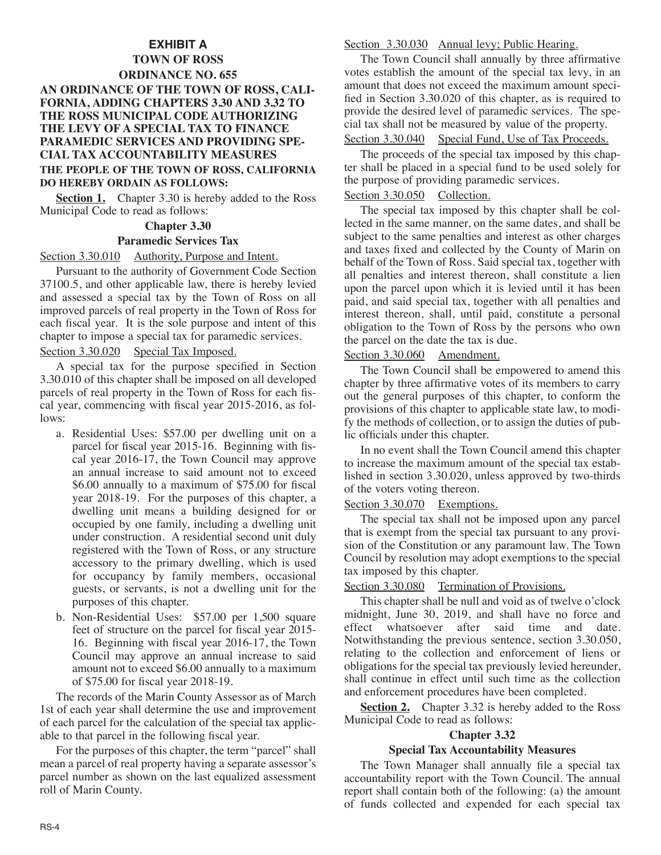## **EXHIBIT A**

## **TOWN OF ROSS ORDINANCE NO. 655 AN ORDINANCE OF THE TOWN OF ROSS, CALI-FORNIA, ADDING CHAPTERS 3.30 AND 3.32 TO THE ROSS MUNICIPAL CODE AUTHORIZING THE LEVY OF A SPECIAL TAX TO FINANCE PARAMEDIC SERVICES AND PROVIDING SPE-CIAL TAX ACCOUNTABILITY MEASURES THE PEOPLE OF THE TOWN OF ROSS, CALIFORNIA DO HEREBY ORDAIN AS FOLLOWS:**

**Section 1.** Chapter 3.30 is hereby added to the Ross Municipal Code to read as follows:

#### **Chapter 3.30**

#### **Paramedic Services Tax**

#### Section 3.30.010 Authority, Purpose and Intent.

Pursuant to the authority of Government Code Section 37100.5, and other applicable law, there is hereby levied and assessed a special tax by the Town of Ross on all improved parcels of real property in the Town of Ross for each fiscal year. It is the sole purpose and intent of this chapter to impose a special tax for paramedic services.

Section 3.30.020 Special Tax Imposed.

A special tax for the purpose specified in Section 3.30.010 of this chapter shall be imposed on all developed parcels of real property in the Town of Ross for each fiscal year, commencing with fiscal year 2015-2016, as follows:

- a. Residential Uses: \$57.00 per dwelling unit on a parcel for fiscal year 2015-16. Beginning with fiscal year 2016-17, the Town Council may approve an annual increase to said amount not to exceed \$6.00 annually to a maximum of \$75.00 for fiscal year 2018-19. For the purposes of this chapter, a dwelling unit means a building designed for or occupied by one family, including a dwelling unit under construction. A residential second unit duly registered with the Town of Ross, or any structure accessory to the primary dwelling, which is used for occupancy by family members, occasional guests, or servants, is not a dwelling unit for the purposes of this chapter.
- b. Non-Residential Uses: \$57.00 per 1,500 square feet of structure on the parcel for fiscal year 2015- 16. Beginning with fiscal year 2016-17, the Town Council may approve an annual increase to said amount not to exceed \$6.00 annually to a maximum of \$75.00 for fiscal year 2018-19.

The records of the Marin County Assessor as of March 1st of each year shall determine the use and improvement of each parcel for the calculation of the special tax applicable to that parcel in the following fiscal year.

For the purposes of this chapter, the term "parcel" shall mean a parcel of real property having a separate assessor's parcel number as shown on the last equalized assessment roll of Marin County.

#### Section 3.30.030 Annual levy; Public Hearing.

The Town Council shall annually by three affirmative votes establish the amount of the special tax levy, in an amount that does not exceed the maximum amount specified in Section 3.30.020 of this chapter, as is required to provide the desired level of paramedic services. The special tax shall not be measured by value of the property.

# Section 3.30.040 Special Fund, Use of Tax Proceeds.

The proceeds of the special tax imposed by this chapter shall be placed in a special fund to be used solely for the purpose of providing paramedic services.

## Section 3.30.050 Collection.

The special tax imposed by this chapter shall be collected in the same manner, on the same dates, and shall be subject to the same penalties and interest as other charges and taxes fixed and collected by the County of Marin on behalf of the Town of Ross. Said special tax, together with all penalties and interest thereon, shall constitute a lien upon the parcel upon which it is levied until it has been paid, and said special tax, together with all penalties and interest thereon, shall, until paid, constitute a personal obligation to the Town of Ross by the persons who own the parcel on the date the tax is due.

## Section 3.30.060 Amendment.

The Town Council shall be empowered to amend this chapter by three affirmative votes of its members to carry out the general purposes of this chapter, to conform the provisions of this chapter to applicable state law, to modify the methods of collection, or to assign the duties of public officials under this chapter.

In no event shall the Town Council amend this chapter to increase the maximum amount of the special tax established in section 3.30.020, unless approved by two-thirds of the voters voting thereon.

#### Section 3.30.070 Exemptions.

The special tax shall not be imposed upon any parcel that is exempt from the special tax pursuant to any provision of the Constitution or any paramount law. The Town Council by resolution may adopt exemptions to the special tax imposed by this chapter.

# Section 3.30.080 Termination of Provisions.

This chapter shall be null and void as of twelve o'clock midnight, June 30, 2019, and shall have no force and effect whatsoever after said time and date. Notwithstanding the previous sentence, section 3.30.050, relating to the collection and enforcement of liens or obligations for the special tax previously levied hereunder, shall continue in effect until such time as the collection and enforcement procedures have been completed.

**<u>Section 2.</u>** Chapter 3.32 is hereby added to the Ross Municipal Code to read as follows:

## **Chapter 3.32**

#### **Special Tax Accountability Measures**

The Town Manager shall annually file a special tax accountability report with the Town Council. The annual report shall contain both of the following: (a) the amount of funds collected and expended for each special tax